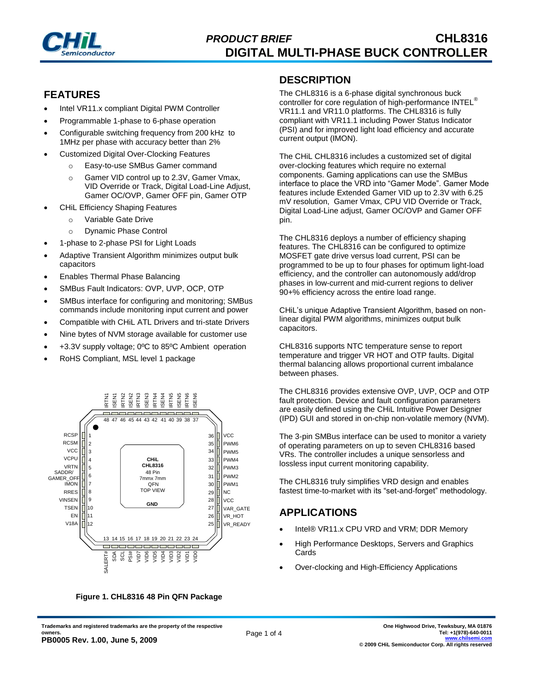

## **FEATURES**

- Intel VR11.x compliant Digital PWM Controller
- Programmable 1-phase to 6-phase operation
- Configurable switching frequency from 200 kHz to 1MHz per phase with accuracy better than 2%
- Customized Digital Over-Clocking Features
	- o Easy-to-use SMBus Gamer command
	- o Gamer VID control up to 2.3V, Gamer Vmax, VID Override or Track, Digital Load-Line Adjust, Gamer OC/OVP, Gamer OFF pin, Gamer OTP
- CHiL Efficiency Shaping Features
	- o Variable Gate Drive
	- o Dynamic Phase Control
- 1-phase to 2-phase PSI for Light Loads
- Adaptive Transient Algorithm minimizes output bulk capacitors
- Enables Thermal Phase Balancing
- SMBus Fault Indicators: OVP, UVP, OCP, OTP
- SMBus interface for configuring and monitoring; SMBus commands include monitoring input current and power
- Compatible with CHiL ATL Drivers and tri-state Drivers
- Nine bytes of NVM storage available for customer use
- +3.3V supply voltage; 0ºC to 85ºC Ambient operation
- RoHS Compliant, MSL level 1 package



**Figure 1. CHL8316 48 Pin QFN Package**

#### **DESCRIPTION**

The CHL8316 is a 6-phase digital synchronous buck controller for core regulation of high-performance INTEL<sup>®</sup> VR11.1 and VR11.0 platforms. The CHL8316 is fully compliant with VR11.1 including Power Status Indicator (PSI) and for improved light load efficiency and accurate current output (IMON).

The CHiL CHL8316 includes a customized set of digital over-clocking features which require no external components. Gaming applications can use the SMBus interface to place the VRD into "Gamer Mode". Gamer Mode features include Extended Gamer VID up to 2.3V with 6.25 mV resolution, Gamer Vmax, CPU VID Override or Track, Digital Load-Line adjust, Gamer OC/OVP and Gamer OFF pin.

The CHL8316 deploys a number of efficiency shaping features. The CHL8316 can be configured to optimize MOSFET gate drive versus load current, PSI can be programmed to be up to four phases for optimum light-load efficiency, and the controller can autonomously add/drop phases in low-current and mid-current regions to deliver 90+% efficiency across the entire load range.

CHiL's unique Adaptive Transient Algorithm, based on nonlinear digital PWM algorithms, minimizes output bulk capacitors.

CHL8316 supports NTC temperature sense to report temperature and trigger VR HOT and OTP faults. Digital thermal balancing allows proportional current imbalance between phases.

The CHL8316 provides extensive OVP, UVP, OCP and OTP fault protection. Device and fault configuration parameters are easily defined using the CHiL Intuitive Power Designer (IPD) GUI and stored in on-chip non-volatile memory (NVM).

The 3-pin SMBus interface can be used to monitor a variety of operating parameters on up to seven CHL8316 based VRs. The controller includes a unique sensorless and lossless input current monitoring capability.

The CHL8316 truly simplifies VRD design and enables fastest time-to-market with its "set-and-forget" methodology.

### **APPLICATIONS**

- Intel® VR11.x CPU VRD and VRM; DDR Memory
- High Performance Desktops, Servers and Graphics Cards
- Over-clocking and High-Efficiency Applications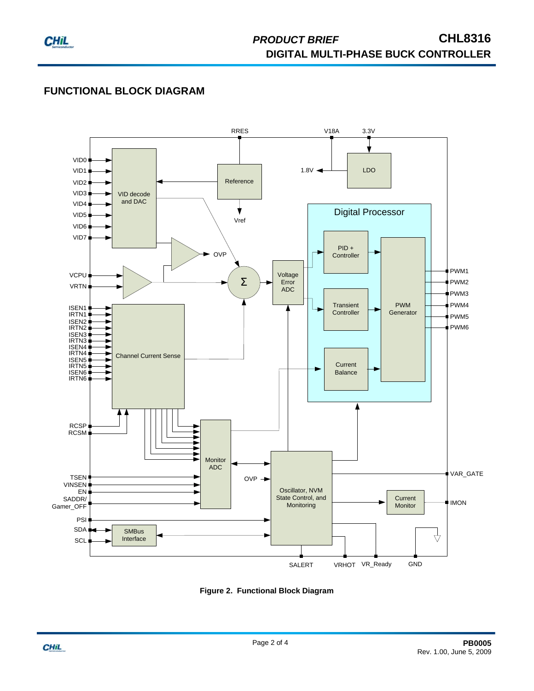

## **FUNCTIONAL BLOCK DIAGRAM**



**Figure 2. Functional Block Diagram**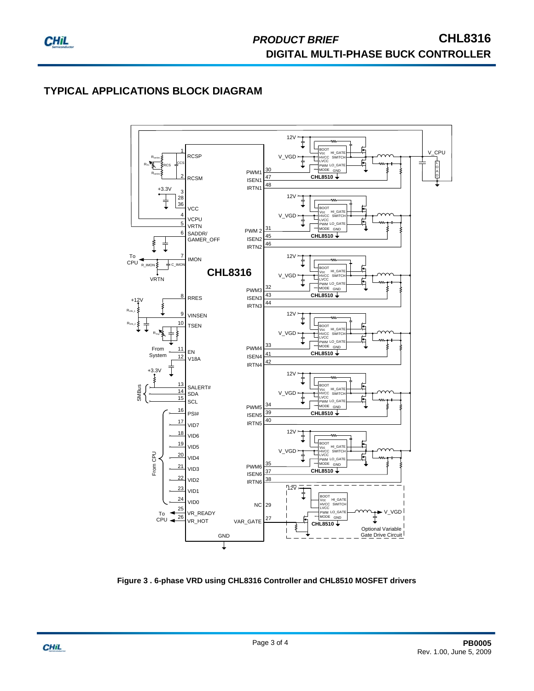# **TYPICAL APPLICATIONS BLOCK DIAGRAM**



**Figure 3 . 6-phase VRD using CHL8316 Controller and CHL8510 MOSFET drivers**